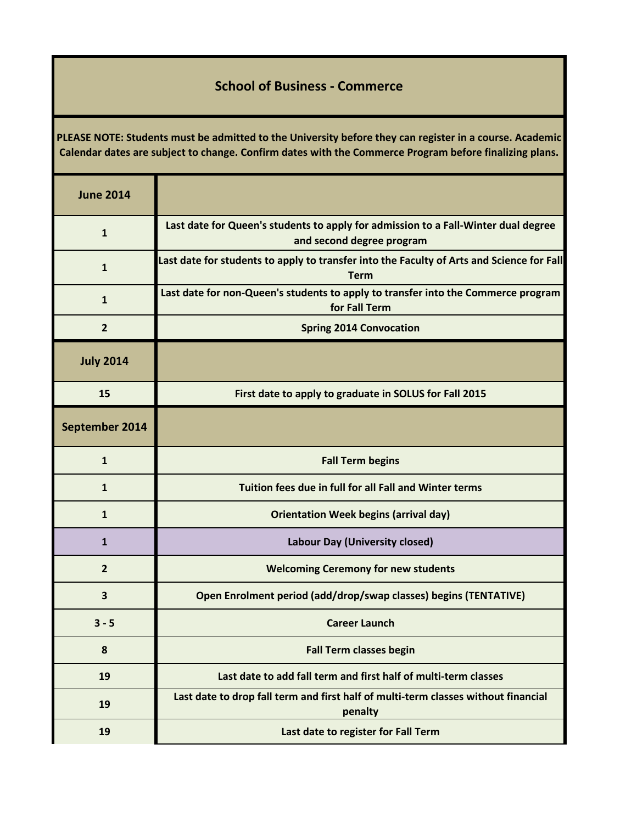## **School of Business - Commerce**

**PLEASE NOTE: Students must be admitted to the University before they can register in a course. Academic Calendar dates are subject to change. Confirm dates with the Commerce Program before finalizing plans.**

| <b>June 2014</b> |                                                                                                                 |
|------------------|-----------------------------------------------------------------------------------------------------------------|
| $\mathbf{1}$     | Last date for Queen's students to apply for admission to a Fall-Winter dual degree<br>and second degree program |
| $\mathbf{1}$     | Last date for students to apply to transfer into the Faculty of Arts and Science for Fall<br><b>Term</b>        |
| $\mathbf{1}$     | Last date for non-Queen's students to apply to transfer into the Commerce program<br>for Fall Term              |
| $\overline{2}$   | <b>Spring 2014 Convocation</b>                                                                                  |
| <b>July 2014</b> |                                                                                                                 |
| 15               | First date to apply to graduate in SOLUS for Fall 2015                                                          |
| September 2014   |                                                                                                                 |
| $\mathbf{1}$     | <b>Fall Term begins</b>                                                                                         |
| $\mathbf{1}$     | Tuition fees due in full for all Fall and Winter terms                                                          |
| 1                | <b>Orientation Week begins (arrival day)</b>                                                                    |
| $\mathbf{1}$     | <b>Labour Day (University closed)</b>                                                                           |
| $\overline{2}$   | <b>Welcoming Ceremony for new students</b>                                                                      |
| 3                | Open Enrolment period (add/drop/swap classes) begins (TENTATIVE)                                                |
| $3 - 5$          | <b>Career Launch</b>                                                                                            |
| 8                | <b>Fall Term classes begin</b>                                                                                  |
| 19               | Last date to add fall term and first half of multi-term classes                                                 |
| 19               | Last date to drop fall term and first half of multi-term classes without financial<br>penalty                   |
| 19               | Last date to register for Fall Term                                                                             |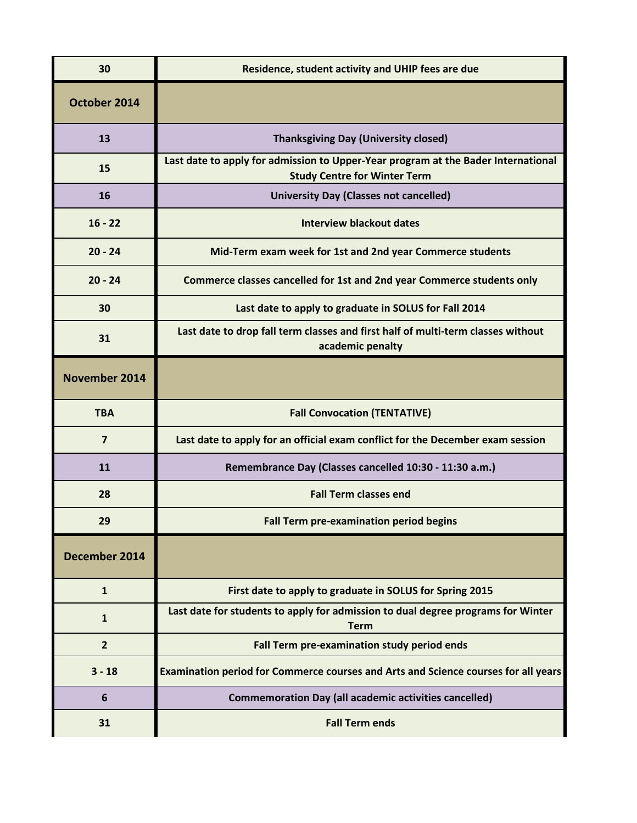| 30             | Residence, student activity and UHIP fees are due                                                                        |
|----------------|--------------------------------------------------------------------------------------------------------------------------|
| October 2014   |                                                                                                                          |
| 13             | <b>Thanksgiving Day (University closed)</b>                                                                              |
| 15             | Last date to apply for admission to Upper-Year program at the Bader International<br><b>Study Centre for Winter Term</b> |
| 16             | <b>University Day (Classes not cancelled)</b>                                                                            |
| $16 - 22$      | <b>Interview blackout dates</b>                                                                                          |
| $20 - 24$      | Mid-Term exam week for 1st and 2nd year Commerce students                                                                |
| $20 - 24$      | Commerce classes cancelled for 1st and 2nd year Commerce students only                                                   |
| 30             | Last date to apply to graduate in SOLUS for Fall 2014                                                                    |
| 31             | Last date to drop fall term classes and first half of multi-term classes without<br>academic penalty                     |
| November 2014  |                                                                                                                          |
| <b>TBA</b>     | <b>Fall Convocation (TENTATIVE)</b>                                                                                      |
|                |                                                                                                                          |
| $\overline{7}$ | Last date to apply for an official exam conflict for the December exam session                                           |
| 11             | Remembrance Day (Classes cancelled 10:30 - 11:30 a.m.)                                                                   |
| 28             | <b>Fall Term classes end</b>                                                                                             |
| 29             | <b>Fall Term pre-examination period begins</b>                                                                           |
| December 2014  |                                                                                                                          |
| $\mathbf{1}$   | First date to apply to graduate in SOLUS for Spring 2015                                                                 |
| $\mathbf{1}$   | Last date for students to apply for admission to dual degree programs for Winter<br><b>Term</b>                          |
| $\overline{2}$ | Fall Term pre-examination study period ends                                                                              |
| $3 - 18$       | Examination period for Commerce courses and Arts and Science courses for all years                                       |
| 6              | <b>Commemoration Day (all academic activities cancelled)</b>                                                             |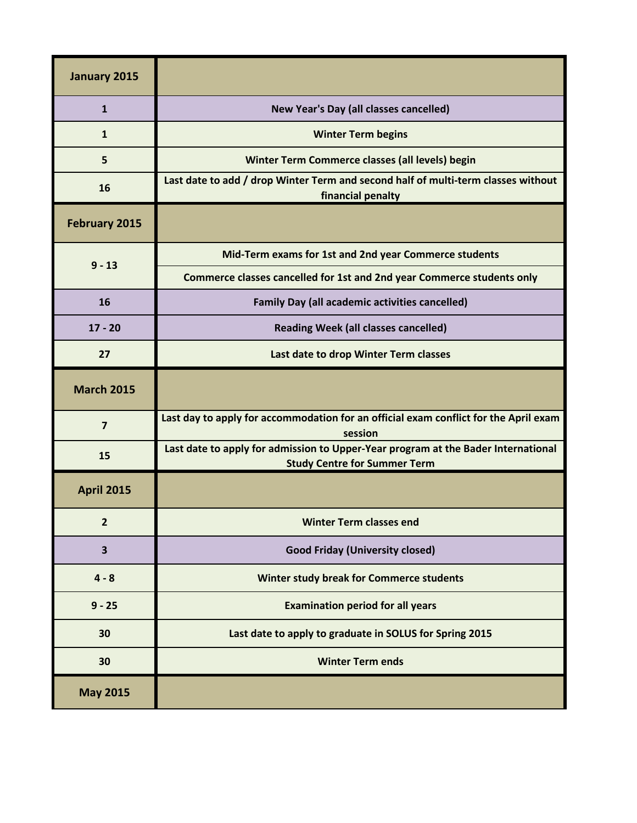| January 2015            |                                                                                                                          |
|-------------------------|--------------------------------------------------------------------------------------------------------------------------|
| $\mathbf{1}$            | New Year's Day (all classes cancelled)                                                                                   |
| 1                       | <b>Winter Term begins</b>                                                                                                |
| 5                       | Winter Term Commerce classes (all levels) begin                                                                          |
| 16                      | Last date to add / drop Winter Term and second half of multi-term classes without<br>financial penalty                   |
| <b>February 2015</b>    |                                                                                                                          |
| $9 - 13$                | Mid-Term exams for 1st and 2nd year Commerce students                                                                    |
|                         | Commerce classes cancelled for 1st and 2nd year Commerce students only                                                   |
| 16                      | <b>Family Day (all academic activities cancelled)</b>                                                                    |
| $17 - 20$               | <b>Reading Week (all classes cancelled)</b>                                                                              |
| 27                      | Last date to drop Winter Term classes                                                                                    |
| <b>March 2015</b>       |                                                                                                                          |
| $\overline{7}$          | Last day to apply for accommodation for an official exam conflict for the April exam<br>session                          |
| 15                      | Last date to apply for admission to Upper-Year program at the Bader International<br><b>Study Centre for Summer Term</b> |
| <b>April 2015</b>       |                                                                                                                          |
| $\overline{2}$          | <b>Winter Term classes end</b>                                                                                           |
| $\overline{\mathbf{3}}$ | <b>Good Friday (University closed)</b>                                                                                   |
| $4 - 8$                 | Winter study break for Commerce students                                                                                 |
| $9 - 25$                | <b>Examination period for all years</b>                                                                                  |
| 30                      | Last date to apply to graduate in SOLUS for Spring 2015                                                                  |
| 30                      | <b>Winter Term ends</b>                                                                                                  |
| <b>May 2015</b>         |                                                                                                                          |